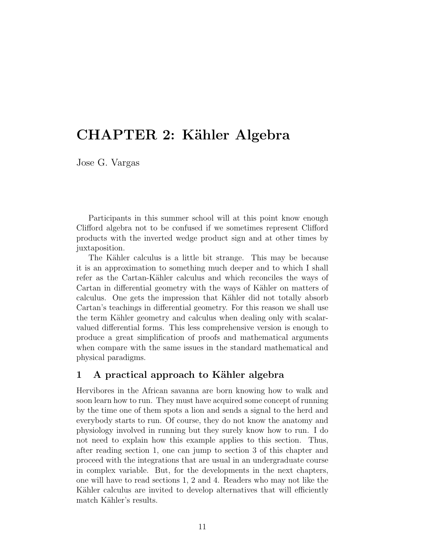# CHAPTER 2: Kähler Algebra

Jose G. Vargas

Participants in this summer school will at this point know enough Clifford algebra not to be confused if we sometimes represent Clifford products with the inverted wedge product sign and at other times by juxtaposition.

The Kähler calculus is a little bit strange. This may be because it is an approximation to something much deeper and to which I shall refer as the Cartan-Kähler calculus and which reconciles the ways of Cartan in differential geometry with the ways of Kähler on matters of calculus. One gets the impression that Kähler did not totally absorb Cartan's teachings in differential geometry. For this reason we shall use the term Kähler geometry and calculus when dealing only with scalarvalued differential forms. This less comprehensive version is enough to produce a great simplification of proofs and mathematical arguments when compare with the same issues in the standard mathematical and physical paradigms.

### 1 A practical approach to Kähler algebra

Hervibores in the African savanna are born knowing how to walk and soon learn how to run. They must have acquired some concept of running by the time one of them spots a lion and sends a signal to the herd and everybody starts to run. Of course, they do not know the anatomy and physiology involved in running but they surely know how to run. I do not need to explain how this example applies to this section. Thus, after reading section 1, one can jump to section 3 of this chapter and proceed with the integrations that are usual in an undergraduate course in complex variable. But, for the developments in the next chapters, one will have to read sections 1, 2 and 4. Readers who may not like the Kähler calculus are invited to develop alternatives that will efficiently match Kähler's results.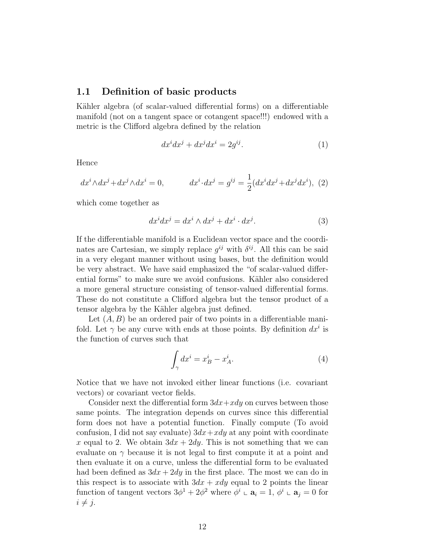### 1.1 Definition of basic products

Kähler algebra (of scalar-valued differential forms) on a differentiable manifold (not on a tangent space or cotangent space!!!) endowed with a metric is the Clifford algebra defined by the relation

$$
dx^i dx^j + dx^j dx^i = 2g^{ij}.
$$
 (1)

Hence

$$
dx^i \wedge dx^j + dx^j \wedge dx^i = 0, \qquad dx^i \cdot dx^j = g^{ij} = \frac{1}{2} (dx^i dx^j + dx^j dx^i), \tag{2}
$$

which come together as

$$
dx^i dx^j = dx^i \wedge dx^j + dx^i \cdot dx^j. \tag{3}
$$

If the differentiable manifold is a Euclidean vector space and the coordinates are Cartesian, we simply replace  $g^{ij}$  with  $\delta^{ij}$ . All this can be said in a very elegant manner without using bases, but the definition would be very abstract. We have said emphasized the "of scalar-valued differential forms" to make sure we avoid confusions. Kähler also considered a more general structure consisting of tensor-valued differential forms. These do not constitute a Clifford algebra but the tensor product of a tensor algebra by the Kähler algebra just defined.

Let  $(A, B)$  be an ordered pair of two points in a differentiable manifold. Let  $\gamma$  be any curve with ends at those points. By definition  $dx^i$  is the function of curves such that

$$
\int_{\gamma} dx^i = x_B^i - x_A^i. \tag{4}
$$

Notice that we have not invoked either linear functions (i.e. covariant vectors) or covariant vector fields.

Consider next the differential form  $3dx+xdy$  on curves between those same points. The integration depends on curves since this differential form does not have a potential function. Finally compute (To avoid confusion, I did not say evaluate)  $3dx+xdy$  at any point with coordinate x equal to 2. We obtain  $3dx + 2dy$ . This is not something that we can evaluate on  $\gamma$  because it is not legal to first compute it at a point and then evaluate it on a curve, unless the differential form to be evaluated had been defined as  $3dx + 2dy$  in the first place. The most we can do in this respect is to associate with  $3dx + xdy$  equal to 2 points the linear function of tangent vectors  $3\phi^1 + 2\phi^2$  where  $\phi^i \circ \mathbf{a}_i = 1$ ,  $\phi^i \circ \mathbf{a}_j = 0$  for  $i \neq j$ .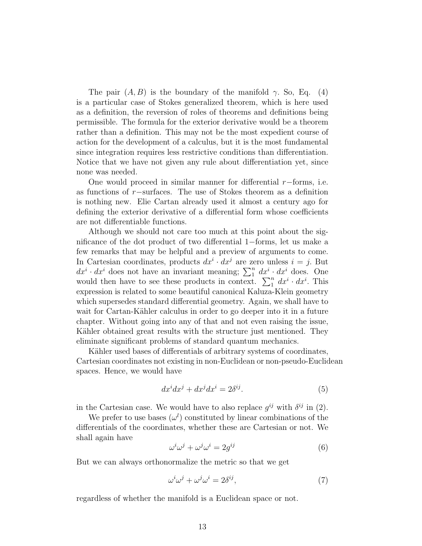The pair  $(A, B)$  is the boundary of the manifold  $\gamma$ . So, Eq. (4) is a particular case of Stokes generalized theorem, which is here used as a definition, the reversion of roles of theorems and definitions being permissible. The formula for the exterior derivative would be a theorem rather than a definition. This may not be the most expedient course of action for the development of a calculus, but it is the most fundamental since integration requires less restrictive conditions than differentiation. Notice that we have not given any rule about differentiation yet, since none was needed.

One would proceed in similar manner for differential  $r$ −forms, i.e. as functions of r−surfaces. The use of Stokes theorem as a definition is nothing new. Elie Cartan already used it almost a century ago for defining the exterior derivative of a differential form whose coefficients are not differentiable functions.

Although we should not care too much at this point about the significance of the dot product of two differential 1−forms, let us make a few remarks that may be helpful and a preview of arguments to come. In Cartesian coordinates, products  $dx^{i} \cdot dx^{j}$  are zero unless  $i = j$ . But  $dx^i \cdot dx^i$  does not have an invariant meaning;  $\sum_1^n dx^i \cdot dx^i$  does. One would then have to see these products in context.  $\sum_{1}^{n} dx^{i} \cdot dx^{i}$ . This expression is related to some beautiful canonical Kaluza-Klein geometry which supersedes standard differential geometry. Again, we shall have to wait for Cartan-Kähler calculus in order to go deeper into it in a future chapter. Without going into any of that and not even raising the issue, Kähler obtained great results with the structure just mentioned. They eliminate significant problems of standard quantum mechanics.

Kähler used bases of differentials of arbitrary systems of coordinates, Cartesian coordinates not existing in non-Euclidean or non-pseudo-Euclidean spaces. Hence, we would have

$$
dx^i dx^j + dx^j dx^i = 2\delta^{ij}.
$$
 (5)

in the Cartesian case. We would have to also replace  $g^{ij}$  with  $\delta^{ij}$  in (2).

We prefer to use bases  $(\omega^l)$  constituted by linear combinations of the differentials of the coordinates, whether these are Cartesian or not. We shall again have

$$
\omega^i \omega^j + \omega^j \omega^i = 2g^{ij} \tag{6}
$$

But we can always orthonormalize the metric so that we get

$$
\omega^i \omega^j + \omega^j \omega^i = 2\delta^{ij},\tag{7}
$$

regardless of whether the manifold is a Euclidean space or not.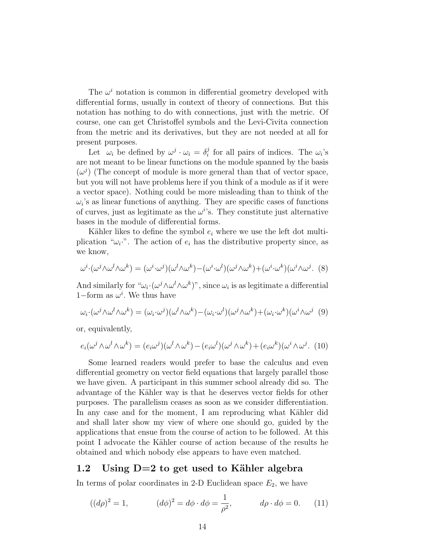The  $\omega^i$  notation is common in differential geometry developed with differential forms, usually in context of theory of connections. But this notation has nothing to do with connections, just with the metric. Of course, one can get Christoffel symbols and the Levi-Civita connection from the metric and its derivatives, but they are not needed at all for present purposes.

Let  $\omega_i$  be defined by  $\omega^j \cdot \omega_i = \delta_i^j$  $i$  for all pairs of indices. The  $\omega_i$ 's are not meant to be linear functions on the module spanned by the basis  $(\omega^j)$  (The concept of module is more general than that of vector space, but you will not have problems here if you think of a module as if it were a vector space). Nothing could be more misleading than to think of the  $\omega_i$ 's as linear functions of anything. They are specific cases of functions of curves, just as legitimate as the  $\omega^{i}$ 's. They constitute just alternative bases in the module of differential forms.

Kähler likes to define the symbol  $e_i$  where we use the left dot multiplication " $\omega_i$ ". The action of  $e_i$  has the distributive property since, as we know,

$$
\omega^{i} \cdot (\omega^{j} \wedge \omega^{l} \wedge \omega^{k}) = (\omega^{i} \cdot \omega^{j})(\omega^{l} \wedge \omega^{k}) - (\omega^{i} \cdot \omega^{l})(\omega^{j} \wedge \omega^{k}) + (\omega^{i} \cdot \omega^{k})(\omega^{i} \wedge \omega^{j}).
$$
 (8)

And similarly for  $\omega_i \cdot (\omega^j \wedge \omega^l \wedge \omega^k)$ ", since  $\omega_i$  is as legitimate a differential 1–form as  $\omega^i$ . We thus have

$$
\omega_i \cdot (\omega^j \wedge \omega^l \wedge \omega^k) = (\omega_i \cdot \omega^j)(\omega^l \wedge \omega^k) - (\omega_i \cdot \omega^l)(\omega^j \wedge \omega^k) + (\omega_i \cdot \omega^k)(\omega^i \wedge \omega^j \tag{9}
$$

or, equivalently,

$$
e_i(\omega^j \wedge \omega^l \wedge \omega^k) = (e_i \omega^j)(\omega^l \wedge \omega^k) - (e_i \omega^l)(\omega^j \wedge \omega^k) + (e_i \omega^k)(\omega^i \wedge \omega^j). \tag{10}
$$

Some learned readers would prefer to base the calculus and even differential geometry on vector field equations that largely parallel those we have given. A participant in this summer school already did so. The advantage of the Kähler way is that he deserves vector fields for other purposes. The parallelism ceases as soon as we consider differentiation. In any case and for the moment, I am reproducing what Kähler did and shall later show my view of where one should go, guided by the applications that ensue from the course of action to be followed. At this point I advocate the Kähler course of action because of the results he obtained and which nobody else appears to have even matched.

### 1.2 Using  $D=2$  to get used to Kähler algebra

In terms of polar coordinates in 2-D Euclidean space  $E_2$ , we have

$$
((d\rho)^2 = 1,
$$
  $(d\phi)^2 = d\phi \cdot d\phi = \frac{1}{\rho^2},$   $d\rho \cdot d\phi = 0.$  (11)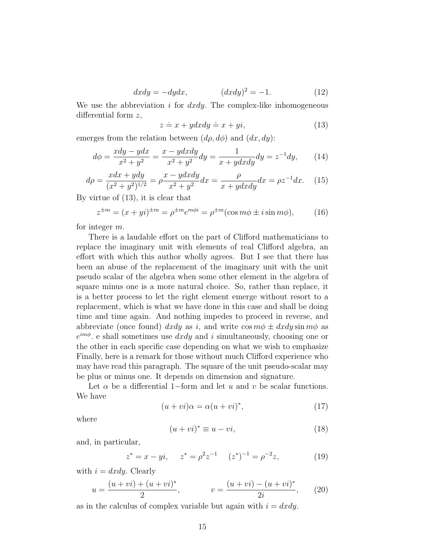$$
dxdy = -dydx, \qquad (dxdy)^2 = -1. \tag{12}
$$

We use the abbreviation i for  $dxdy$ . The complex-like inhomogeneous differential form z,

$$
z \doteq x + ydxdy \doteq x + yi,\tag{13}
$$

emerges from the relation between  $(d\rho, d\phi)$  and  $(dx, dy)$ :

$$
d\phi = \frac{xdy - ydx}{x^2 + y^2} = \frac{x - ydxdy}{x^2 + y^2}dy = \frac{1}{x + ydxdy}dy = z^{-1}dy, \qquad (14)
$$

$$
d\rho = \frac{xdx + ydy}{(x^2 + y^2)^{1/2}} = \rho \frac{x - ydxdy}{x^2 + y^2} dx = \frac{\rho}{x + ydxdy} dx = \rho z^{-1} dx. \tag{15}
$$

By virtue of (13), it is clear that

$$
z^{\pm m} = (x+yi)^{\pm m} = \rho^{\pm m} e^{m\phi i} = \rho^{\pm m} (\cos m\phi \pm i \sin m\phi), \qquad (16)
$$

for integer m.

There is a laudable effort on the part of Clifford mathematicians to replace the imaginary unit with elements of real Clifford algebra, an effort with which this author wholly agrees. But I see that there has been an abuse of the replacement of the imaginary unit with the unit pseudo scalar of the algebra when some other element in the algebra of square minus one is a more natural choice. So, rather than replace, it is a better process to let the right element emerge without resort to a replacement, which is what we have done in this case and shall be doing time and time again. And nothing impedes to proceed in reverse, and abbreviate (once found) dxdy as i, and write  $\cos m\phi \pm dxdy \sin m\phi$  as  $e^{im\phi}$  e shall sometimes use  $dxdy$  and i simultaneously, choosing one or the other in each specific case depending on what we wish to emphasize Finally, here is a remark for those without much Clifford experience who may have read this paragraph. The square of the unit pseudo-scalar may be plus or minus one. It depends on dimension and signature.

Let  $\alpha$  be a differential 1–form and let u and v be scalar functions. We have

$$
(u + vi)\alpha = \alpha (u + vi)^*,\tag{17}
$$

where

$$
(u + vi)^* \equiv u - vi,\tag{18}
$$

and, in particular,

$$
z^* = x - yi
$$
,  $z^* = \rho^2 z^{-1}$   $(z^*)^{-1} = \rho^{-2} z$ , (19)

with  $i = dxdy$ . Clearly

$$
u = \frac{(u + vi) + (u + vi)^{*}}{2}, \qquad v = \frac{(u + vi) - (u + vi)^{*}}{2i}, \qquad (20)
$$

as in the calculus of complex variable but again with  $i = dxdy$ .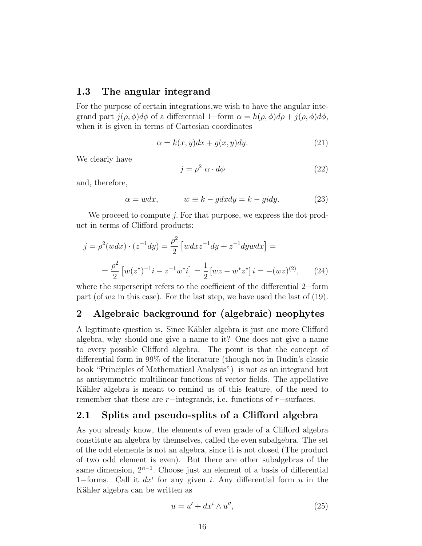#### 1.3 The angular integrand

For the purpose of certain integrations,we wish to have the angular integrand part  $j(\rho, \phi)d\phi$  of a differential 1–form  $\alpha = h(\rho, \phi)d\rho + j(\rho, \phi)d\phi$ , when it is given in terms of Cartesian coordinates

$$
\alpha = k(x, y)dx + g(x, y)dy. \tag{21}
$$

We clearly have

$$
j = \rho^2 \ \alpha \cdot d\phi \tag{22}
$$

and, therefore,

$$
\alpha = wdx, \qquad w \equiv k - g dx dy = k - g i dy. \tag{23}
$$

We proceed to compute j. For that purpose, we express the dot product in terms of Clifford products:

$$
j = \rho^2(wdx) \cdot (z^{-1}dy) = \frac{\rho^2}{2} \left[ wdx z^{-1}dy + z^{-1}dyw dx \right] =
$$
  
= 
$$
\frac{\rho^2}{2} \left[ w(z^*)^{-1}i - z^{-1}w^*i \right] = \frac{1}{2} \left[ wz - w^*z^* \right] i = -(wz)^{(2)}, \qquad (24)
$$

where the superscript refers to the coefficient of the differential 2−form part (of  $wz$  in this case). For the last step, we have used the last of (19).

## 2 Algebraic background for (algebraic) neophytes

A legitimate question is. Since Kähler algebra is just one more Clifford algebra, why should one give a name to it? One does not give a name to every possible Clifford algebra. The point is that the concept of differential form in 99% of the literature (though not in Rudin's classic book "Principles of Mathematical Analysis") is not as an integrand but as antisymmetric multilinear functions of vector fields. The appellative Kähler algebra is meant to remind us of this feature, of the need to remember that these are r−integrands, i.e. functions of r−surfaces.

#### 2.1 Splits and pseudo-splits of a Clifford algebra

As you already know, the elements of even grade of a Clifford algebra constitute an algebra by themselves, called the even subalgebra. The set of the odd elements is not an algebra, since it is not closed (The product of two odd element is even). But there are other subalgebras of the same dimension,  $2^{n-1}$ . Choose just an element of a basis of differential 1–forms. Call it  $dx^i$  for any given i. Any differential form u in the Kähler algebra can be written as

$$
u = u' + dx^i \wedge u'', \tag{25}
$$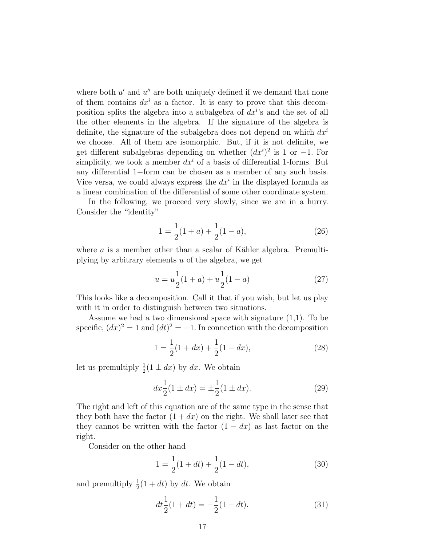where both  $u'$  and  $u''$  are both uniquely defined if we demand that none of them contains  $dx^i$  as a factor. It is easy to prove that this decomposition splits the algebra into a subalgebra of  $dx^{i}$ 's and the set of all the other elements in the algebra. If the signature of the algebra is definite, the signature of the subalgebra does not depend on which  $dx^{i}$ we choose. All of them are isomorphic. But, if it is not definite, we get different subalgebras depending on whether  $(dx<sup>i</sup>)<sup>2</sup>$  is 1 or -1. For simplicity, we took a member  $dx^i$  of a basis of differential 1-forms. But any differential 1−form can be chosen as a member of any such basis. Vice versa, we could always express the  $dx^i$  in the displayed formula as a linear combination of the differential of some other coordinate system.

In the following, we proceed very slowly, since we are in a hurry. Consider the "identity"

$$
1 = \frac{1}{2}(1+a) + \frac{1}{2}(1-a),
$$
\n(26)

where  $a$  is a member other than a scalar of Kähler algebra. Premultiplying by arbitrary elements  $u$  of the algebra, we get

$$
u = u\frac{1}{2}(1+a) + u\frac{1}{2}(1-a)
$$
 (27)

This looks like a decomposition. Call it that if you wish, but let us play with it in order to distinguish between two situations.

Assume we had a two dimensional space with signature  $(1,1)$ . To be specific,  $(dx)^2 = 1$  and  $(dt)^2 = -1$ . In connection with the decomposition

$$
1 = \frac{1}{2}(1 + dx) + \frac{1}{2}(1 - dx),
$$
\n(28)

let us premultiply  $\frac{1}{2}(1 \pm dx)$  by dx. We obtain

$$
dx\frac{1}{2}(1 \pm dx) = \pm \frac{1}{2}(1 \pm dx). \tag{29}
$$

The right and left of this equation are of the same type in the sense that they both have the factor  $(1 + dx)$  on the right. We shall later see that they cannot be written with the factor  $(1 - dx)$  as last factor on the right.

Consider on the other hand

$$
1 = \frac{1}{2}(1 + dt) + \frac{1}{2}(1 - dt),
$$
\n(30)

and premultiply  $\frac{1}{2}(1+dt)$  by dt. We obtain

$$
dt\frac{1}{2}(1+dt) = -\frac{1}{2}(1-dt).
$$
 (31)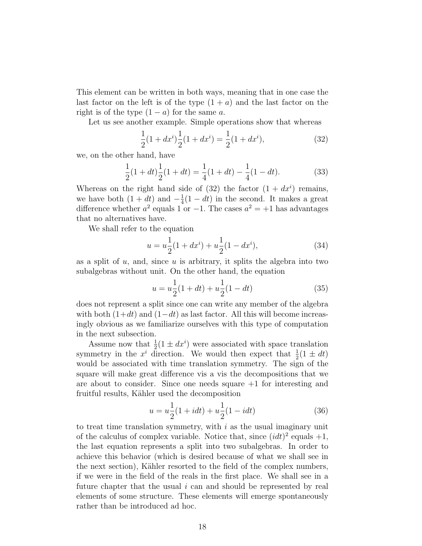This element can be written in both ways, meaning that in one case the last factor on the left is of the type  $(1 + a)$  and the last factor on the right is of the type  $(1 - a)$  for the same a.

Let us see another example. Simple operations show that whereas

$$
\frac{1}{2}(1+dx^i)\frac{1}{2}(1+dx^i) = \frac{1}{2}(1+dx^i),\tag{32}
$$

we, on the other hand, have

$$
\frac{1}{2}(1+dt)\frac{1}{2}(1+dt) = \frac{1}{4}(1+dt) - \frac{1}{4}(1-dt).
$$
 (33)

Whereas on the right hand side of  $(32)$  the factor  $(1 + dx^i)$  remains, we have both  $(1+dt)$  and  $-\frac{1}{4}$  $\frac{1}{4}(1-dt)$  in the second. It makes a great difference whether  $a^2$  equals 1 or -1. The cases  $a^2 = +1$  has advantages that no alternatives have.

We shall refer to the equation

$$
u = u\frac{1}{2}(1+dx^{i}) + u\frac{1}{2}(1-dx^{i}),
$$
\n(34)

as a split of  $u$ , and, since  $u$  is arbitrary, it splits the algebra into two subalgebras without unit. On the other hand, the equation

$$
u = u\frac{1}{2}(1+dt) + u\frac{1}{2}(1-dt)
$$
\n(35)

does not represent a split since one can write any member of the algebra with both  $(1+dt)$  and  $(1-dt)$  as last factor. All this will become increasingly obvious as we familiarize ourselves with this type of computation in the next subsection.

Assume now that  $\frac{1}{2}(1 \pm dx^i)$  were associated with space translation symmetry in the  $x^i$  direction. We would then expect that  $\frac{1}{2}(1 \pm dt)$ would be associated with time translation symmetry. The sign of the square will make great difference vis a vis the decompositions that we are about to consider. Since one needs square  $+1$  for interesting and fruitful results, Kähler used the decomposition

$$
u = u\frac{1}{2}(1 + idt) + u\frac{1}{2}(1 - idt)
$$
 (36)

to treat time translation symmetry, with  $i$  as the usual imaginary unit of the calculus of complex variable. Notice that, since  $(idt)^2$  equals  $+1$ , the last equation represents a split into two subalgebras. In order to achieve this behavior (which is desired because of what we shall see in the next section), Kähler resorted to the field of the complex numbers, if we were in the field of the reals in the first place. We shall see in a future chapter that the usual  $i$  can and should be represented by real elements of some structure. These elements will emerge spontaneously rather than be introduced ad hoc.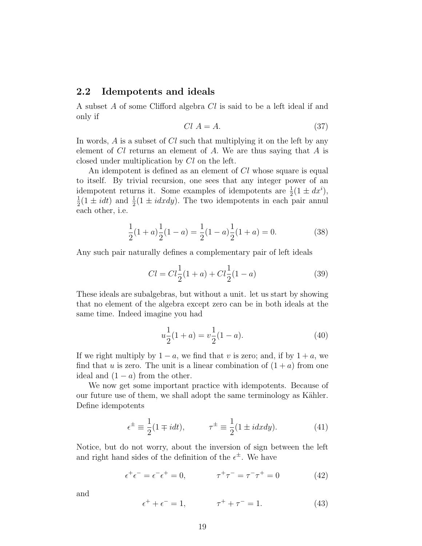#### 2.2 Idempotents and ideals

A subset A of some Clifford algebra Cl is said to be a left ideal if and only if

$$
Cl A = A.
$$
\n<sup>(37)</sup>

In words, A is a subset of Cl such that multiplying it on the left by any element of  $Cl$  returns an element of  $A$ . We are thus saying that  $A$  is closed under multiplication by Cl on the left.

An idempotent is defined as an element of Cl whose square is equal to itself. By trivial recursion, one sees that any integer power of an idempotent returns it. Some examples of idempotents are  $\frac{1}{2}(1 \pm dx^i)$ , 1  $\frac{1}{2}(1 \pm i dt)$  and  $\frac{1}{2}(1 \pm i dx dy)$ . The two idempotents in each pair annul each other, i.e.

$$
\frac{1}{2}(1+a)\frac{1}{2}(1-a) = \frac{1}{2}(1-a)\frac{1}{2}(1+a) = 0.
$$
 (38)

Any such pair naturally defines a complementary pair of left ideals

$$
Cl = Cl12(1+a) + Cl12(1-a)
$$
\n(39)

These ideals are subalgebras, but without a unit. let us start by showing that no element of the algebra except zero can be in both ideals at the same time. Indeed imagine you had

$$
u\frac{1}{2}(1+a) = v\frac{1}{2}(1-a). \tag{40}
$$

If we right multiply by  $1 - a$ , we find that v is zero; and, if by  $1 + a$ , we find that u is zero. The unit is a linear combination of  $(1 + a)$  from one ideal and  $(1 - a)$  from the other.

We now get some important practice with idempotents. Because of our future use of them, we shall adopt the same terminology as Kähler. Define idempotents

$$
\epsilon^{\pm} \equiv \frac{1}{2}(1 \mp i dt), \qquad \tau^{\pm} \equiv \frac{1}{2}(1 \pm i dx dy). \tag{41}
$$

Notice, but do not worry, about the inversion of sign between the left and right hand sides of the definition of the  $\epsilon^{\pm}$ . We have

$$
\epsilon^+ \epsilon^- = \epsilon^- \epsilon^+ = 0, \qquad \tau^+ \tau^- = \tau^- \tau^+ = 0 \tag{42}
$$

and

$$
\epsilon^+ + \epsilon^- = 1, \qquad \tau^+ + \tau^- = 1. \tag{43}
$$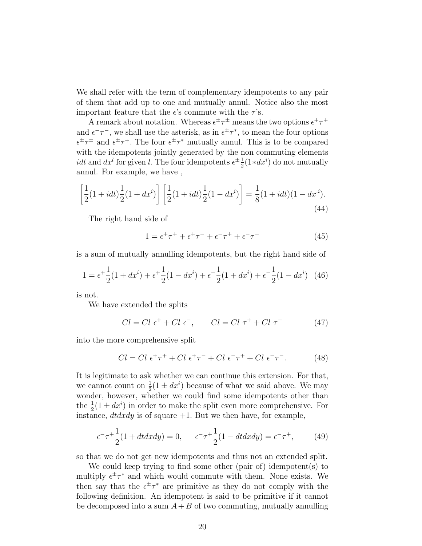We shall refer with the term of complementary idempotents to any pair of them that add up to one and mutually annul. Notice also the most important feature that the  $\epsilon$ 's commute with the  $\tau$ 's.

A remark about notation. Whereas  $\epsilon^{\pm} \tau^{\pm}$  means the two options  $\epsilon^{+} \tau^{+}$ and  $\epsilon^- \tau^-$ , we shall use the asterisk, as in  $\epsilon^{\pm} \tau^*$ , to mean the four options  $\epsilon^{\pm} \tau^{\pm}$  and  $\epsilon^{\pm} \tau^{\mp}$ . The four  $\epsilon^{\pm} \tau^{*}$  mutually annul. This is to be compared with the idempotents jointly generated by the non commuting elements *idt* and  $dx^{l}$  for given l. The four idempotents  $\epsilon^{\pm \frac{1}{2}}$  $\frac{1}{2}(1*dx^i)$  do not mutually annul. For example, we have ,

$$
\left[\frac{1}{2}(1+idt)\frac{1}{2}(1+dx^i)\right]\left[\frac{1}{2}(1+idt)\frac{1}{2}(1-dx^i)\right] = \frac{1}{8}(1+idt)(1-dx^i).
$$
\n(44)

The right hand side of

$$
1 = \epsilon^+ \tau^+ + \epsilon^+ \tau^- + \epsilon^- \tau^+ + \epsilon^- \tau^- \tag{45}
$$

is a sum of mutually annulling idempotents, but the right hand side of

$$
1 = \epsilon^+ \frac{1}{2} (1 + dx^i) + \epsilon^+ \frac{1}{2} (1 - dx^i) + \epsilon^- \frac{1}{2} (1 + dx^i) + \epsilon^- \frac{1}{2} (1 - dx^i) \tag{46}
$$

is not.

We have extended the splits

$$
Cl = Cl \epsilon^+ + Cl \epsilon^-, \qquad Cl = Cl \tau^+ + Cl \tau^- \tag{47}
$$

into the more comprehensive split

$$
Cl = Cl \epsilon^+ \tau^+ + Cl \epsilon^+ \tau^- + Cl \epsilon^- \tau^+ + Cl \epsilon^- \tau^-. \tag{48}
$$

It is legitimate to ask whether we can continue this extension. For that, we cannot count on  $\frac{1}{2}(1 \pm dx^i)$  because of what we said above. We may wonder, however, whether we could find some idempotents other than the  $\frac{1}{2}(1 \pm dx^i)$  in order to make the split even more comprehensive. For instance,  $dtdxdy$  is of square  $+1$ . But we then have, for example,

$$
\epsilon^- \tau^+ \frac{1}{2} (1 + dt dx dy) = 0, \qquad \epsilon^- \tau^+ \frac{1}{2} (1 - dt dx dy) = \epsilon^- \tau^+, \tag{49}
$$

so that we do not get new idempotents and thus not an extended split.

We could keep trying to find some other (pair of) idempotent(s) to multiply  $\epsilon^{\pm} \tau^*$  and which would commute with them. None exists. We then say that the  $\epsilon^{\pm} \tau^*$  are primitive as they do not comply with the following definition. An idempotent is said to be primitive if it cannot be decomposed into a sum  $A+B$  of two commuting, mutually annulling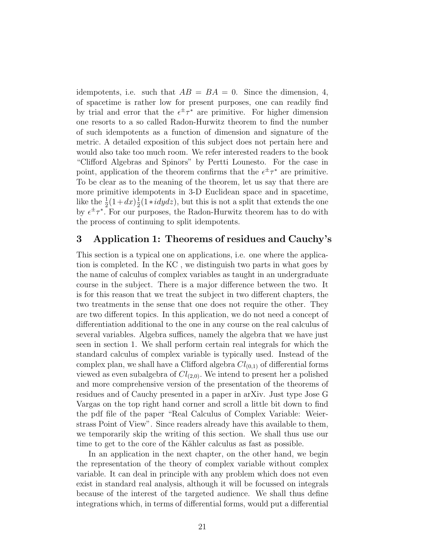idempotents, i.e. such that  $AB = BA = 0$ . Since the dimension, 4, of spacetime is rather low for present purposes, one can readily find by trial and error that the  $\epsilon^{\pm} \tau^*$  are primitive. For higher dimension one resorts to a so called Radon-Hurwitz theorem to find the number of such idempotents as a function of dimension and signature of the metric. A detailed exposition of this subject does not pertain here and would also take too much room. We refer interested readers to the book "Clifford Algebras and Spinors" by Pertti Lounesto. For the case in point, application of the theorem confirms that the  $\epsilon^{\pm} \tau^*$  are primitive. To be clear as to the meaning of the theorem, let us say that there are more primitive idempotents in 3-D Euclidean space and in spacetime, like the  $\frac{1}{2}(1+dx)\frac{1}{2}$  $\frac{1}{2}(1 \times i dy dz)$ , but this is not a split that extends the one by  $\epsilon^{\pm} \tau^*$ . For our purposes, the Radon-Hurwitz theorem has to do with the process of continuing to split idempotents.

## 3 Application 1: Theorems of residues and Cauchy's

This section is a typical one on applications, i.e. one where the application is completed. In the KC , we distinguish two parts in what goes by the name of calculus of complex variables as taught in an undergraduate course in the subject. There is a major difference between the two. It is for this reason that we treat the subject in two different chapters, the two treatments in the sense that one does not require the other. They are two different topics. In this application, we do not need a concept of differentiation additional to the one in any course on the real calculus of several variables. Algebra suffices, namely the algebra that we have just seen in section 1. We shall perform certain real integrals for which the standard calculus of complex variable is typically used. Instead of the complex plan, we shall have a Clifford algebra  $Cl_{(0,1)}$  of differential forms viewed as even subalgebra of  $Cl_{(2,0)}$ . We intend to present her a polished and more comprehensive version of the presentation of the theorems of residues and of Cauchy presented in a paper in arXiv. Just type Jose G Vargas on the top right hand corner and scroll a little bit down to find the pdf file of the paper "Real Calculus of Complex Variable: Weierstrass Point of View". Since readers already have this available to them, we temporarily skip the writing of this section. We shall thus use our time to get to the core of the Kähler calculus as fast as possible.

In an application in the next chapter, on the other hand, we begin the representation of the theory of complex variable without complex variable. It can deal in principle with any problem which does not even exist in standard real analysis, although it will be focussed on integrals because of the interest of the targeted audience. We shall thus define integrations which, in terms of differential forms, would put a differential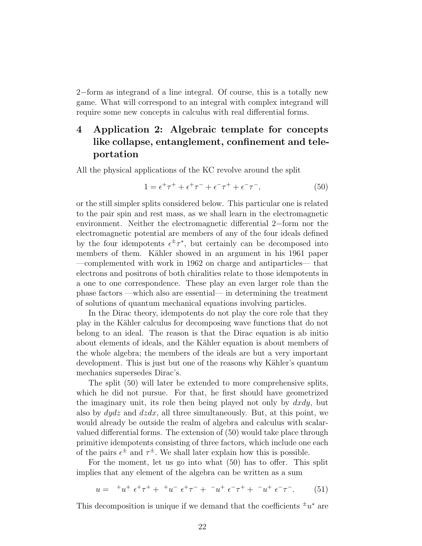2−form as integrand of a line integral. Of course, this is a totally new game. What will correspond to an integral with complex integrand will require some new concepts in calculus with real differential forms.

## 4 Application 2: Algebraic template for concepts like collapse, entanglement, confinement and teleportation

All the physical applications of the KC revolve around the split

$$
1 = \epsilon^+ \tau^+ + \epsilon^+ \tau^- + \epsilon^- \tau^+ + \epsilon^- \tau^-, \tag{50}
$$

or the still simpler splits considered below. This particular one is related to the pair spin and rest mass, as we shall learn in the electromagnetic environment. Neither the electromagnetic differential 2−form nor the electromagnetic potential are members of any of the four ideals defined by the four idempotents  $\epsilon^{\pm} \tau^*$ , but certainly can be decomposed into members of them. Kähler showed in an argument in his 1961 paper —complemented with work in 1962 on charge and antiparticles— that electrons and positrons of both chiralities relate to those idempotents in a one to one correspondence. These play an even larger role than the phase factors —which also are essential— in determining the treatment of solutions of quantum mechanical equations involving particles.

In the Dirac theory, idempotents do not play the core role that they play in the K¨ahler calculus for decomposing wave functions that do not belong to an ideal. The reason is that the Dirac equation is ab initio about elements of ideals, and the K¨ahler equation is about members of the whole algebra; the members of the ideals are but a very important development. This is just but one of the reasons why Kähler's quantum mechanics supersedes Dirac's.

The split (50) will later be extended to more comprehensive splits, which he did not pursue. For that, he first should have geometrized the imaginary unit, its role then being played not only by  $dxdy$ , but also by  $dydz$  and  $dzdx$ , all three simultaneously. But, at this point, we would already be outside the realm of algebra and calculus with scalarvalued differential forms. The extension of (50) would take place through primitive idempotents consisting of three factors, which include one each of the pairs  $\epsilon^{\pm}$  and  $\tau^{\pm}$ . We shall later explain how this is possible.

For the moment, let us go into what (50) has to offer. This split implies that any element of the algebra can be written as a sum

$$
u = {}^{+}u^{+} \epsilon^{+}\tau^{+} + {}^{+}u^{-} \epsilon^{+}\tau^{-} + {}^{-}u^{+} \epsilon^{-}\tau^{+} + {}^{-}u^{+} \epsilon^{-}\tau^{-}. \tag{51}
$$

This decomposition is unique if we demand that the coefficients  $\pm u^*$  are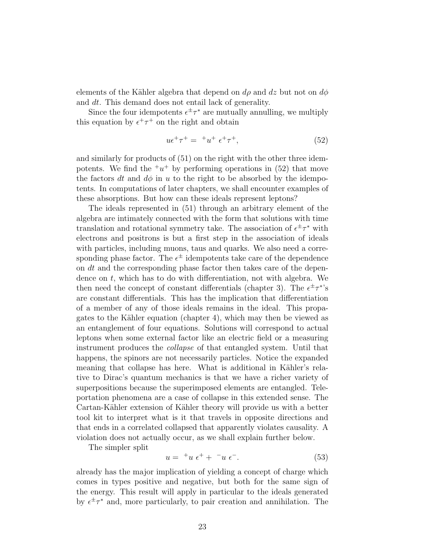elements of the Kähler algebra that depend on  $d\rho$  and  $dz$  but not on  $d\phi$ and dt. This demand does not entail lack of generality.

Since the four idempotents  $\epsilon^{\pm} \tau^*$  are mutually annulling, we multiply this equation by  $\epsilon^+ \tau^+$  on the right and obtain

$$
u\epsilon^+\tau^+ = {}^+u^+\epsilon^+\tau^+, \tag{52}
$$

and similarly for products of (51) on the right with the other three idempotents. We find the  $+u^+$  by performing operations in (52) that move the factors dt and  $d\phi$  in u to the right to be absorbed by the idempotents. In computations of later chapters, we shall encounter examples of these absorptions. But how can these ideals represent leptons?

The ideals represented in (51) through an arbitrary element of the algebra are intimately connected with the form that solutions with time translation and rotational symmetry take. The association of  $\epsilon^{\pm} \tau^*$  with electrons and positrons is but a first step in the association of ideals with particles, including muons, taus and quarks. We also need a corresponding phase factor. The  $\epsilon^{\pm}$  idempotents take care of the dependence on dt and the corresponding phase factor then takes care of the dependence on  $t$ , which has to do with differentiation, not with algebra. We then need the concept of constant differentials (chapter 3). The  $\epsilon^{\pm} \tau^{*}$ 's are constant differentials. This has the implication that differentiation of a member of any of those ideals remains in the ideal. This propagates to the Kähler equation (chapter 4), which may then be viewed as an entanglement of four equations. Solutions will correspond to actual leptons when some external factor like an electric field or a measuring instrument produces the collapse of that entangled system. Until that happens, the spinors are not necessarily particles. Notice the expanded meaning that collapse has here. What is additional in Kähler's relative to Dirac's quantum mechanics is that we have a richer variety of superpositions because the superimposed elements are entangled. Teleportation phenomena are a case of collapse in this extended sense. The Cartan-Kähler extension of Kähler theory will provide us with a better tool kit to interpret what is it that travels in opposite directions and that ends in a correlated collapsed that apparently violates causality. A violation does not actually occur, as we shall explain further below.

The simpler split

$$
u = {}^{+}u \epsilon^{+} + {}^{-}u \epsilon^{-}.
$$
 (53)

already has the major implication of yielding a concept of charge which comes in types positive and negative, but both for the same sign of the energy. This result will apply in particular to the ideals generated by  $\epsilon^{\pm} \tau^*$  and, more particularly, to pair creation and annihilation. The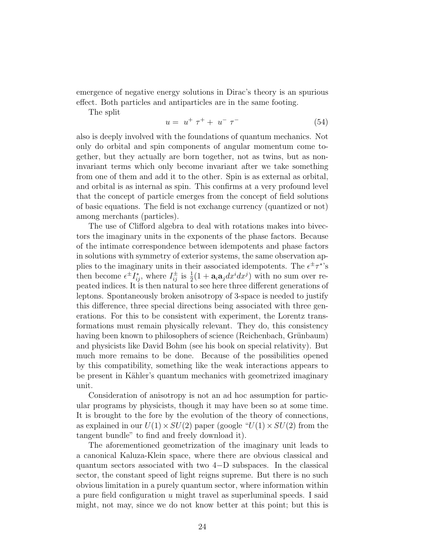emergence of negative energy solutions in Dirac's theory is an spurious effect. Both particles and antiparticles are in the same footing.

The split

$$
u = u^{+} \tau^{+} + u^{-} \tau^{-} \tag{54}
$$

also is deeply involved with the foundations of quantum mechanics. Not only do orbital and spin components of angular momentum come together, but they actually are born together, not as twins, but as noninvariant terms which only become invariant after we take something from one of them and add it to the other. Spin is as external as orbital, and orbital is as internal as spin. This confirms at a very profound level that the concept of particle emerges from the concept of field solutions of basic equations. The field is not exchange currency (quantized or not) among merchants (particles).

The use of Clifford algebra to deal with rotations makes into bivectors the imaginary units in the exponents of the phase factors. Because of the intimate correspondence between idempotents and phase factors in solutions with symmetry of exterior systems, the same observation applies to the imaginary units in their associated idempotents. The  $\epsilon^{\pm} \tau^*$ 's then become  $\epsilon^{\pm}I_{ij}^*$ , where  $I_{ij}^{\pm}$  is  $\frac{1}{2}(1 + \mathbf{a}_i\mathbf{a}_j dx^i dx^j)$  with no sum over repeated indices. It is then natural to see here three different generations of leptons. Spontaneously broken anisotropy of 3-space is needed to justify this difference, three special directions being associated with three generations. For this to be consistent with experiment, the Lorentz transformations must remain physically relevant. They do, this consistency having been known to philosophers of science (Reichenbach, Grünbaum) and physicists like David Bohm (see his book on special relativity). But much more remains to be done. Because of the possibilities opened by this compatibility, something like the weak interactions appears to be present in Kähler's quantum mechanics with geometrized imaginary unit.

Consideration of anisotropy is not an ad hoc assumption for particular programs by physicists, though it may have been so at some time. It is brought to the fore by the evolution of the theory of connections, as explained in our  $U(1) \times SU(2)$  paper (google " $U(1) \times SU(2)$  from the tangent bundle" to find and freely download it).

The aforementioned geometrization of the imaginary unit leads to a canonical Kaluza-Klein space, where there are obvious classical and quantum sectors associated with two 4−D subspaces. In the classical sector, the constant speed of light reigns supreme. But there is no such obvious limitation in a purely quantum sector, where information within a pure field configuration u might travel as superluminal speeds. I said might, not may, since we do not know better at this point; but this is